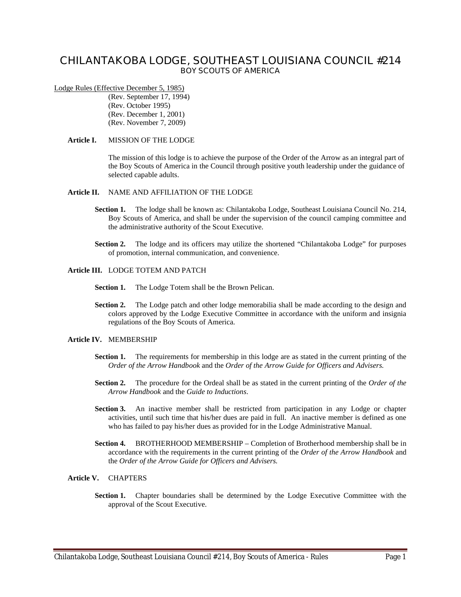# **CHILANTAKOBA LODGE, SOUTHEAST LOUISIANA COUNCIL #214 BOY SCOUTS OF AMERICA**

### Lodge Rules (Effective December 5, 1985)

(Rev. September 17, 1994) (Rev. October 1995) (Rev. December 1, 2001) (Rev. November 7, 2009)

#### **Article I.** MISSION OF THE LODGE

The mission of this lodge is to achieve the purpose of the Order of the Arrow as an integral part of the Boy Scouts of America in the Council through positive youth leadership under the guidance of selected capable adults.

#### **Article II.** NAME AND AFFILIATION OF THE LODGE

- **Section 1.** The lodge shall be known as: Chilantakoba Lodge, Southeast Louisiana Council No. 214, Boy Scouts of America, and shall be under the supervision of the council camping committee and the administrative authority of the Scout Executive.
- Section 2. The lodge and its officers may utilize the shortened "Chilantakoba Lodge" for purposes of promotion, internal communication, and convenience.

# **Article III.** LODGE TOTEM AND PATCH

- **Section 1.** The Lodge Totem shall be the Brown Pelican.
- **Section 2.** The Lodge patch and other lodge memorabilia shall be made according to the design and colors approved by the Lodge Executive Committee in accordance with the uniform and insignia regulations of the Boy Scouts of America.

# **Article IV.** MEMBERSHIP

- **Section 1.** The requirements for membership in this lodge are as stated in the current printing of the *Order of the Arrow Handbook* and the *Order of the Arrow Guide for Officers and Advisers.*
- **Section 2.** The procedure for the Ordeal shall be as stated in the current printing of the *Order of the Arrow Handbook* and the *Guide to Inductions*.
- **Section 3.** An inactive member shall be restricted from participation in any Lodge or chapter activities, until such time that his/her dues are paid in full. An inactive member is defined as one who has failed to pay his/her dues as provided for in the Lodge Administrative Manual.
- **Section 4.** BROTHERHOOD MEMBERSHIP Completion of Brotherhood membership shall be in accordance with the requirements in the current printing of the *Order of the Arrow Handbook* and the *Order of the Arrow Guide for Officers and Advisers.*

# **Article V.** CHAPTERS

**Section 1.** Chapter boundaries shall be determined by the Lodge Executive Committee with the approval of the Scout Executive.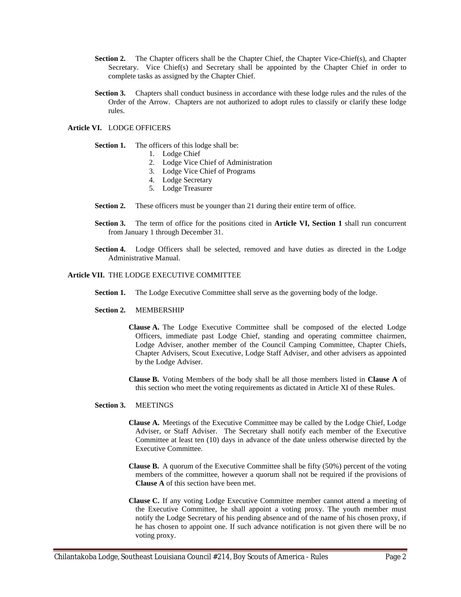- Section 2. The Chapter officers shall be the Chapter Chief, the Chapter Vice-Chief(s), and Chapter Secretary. Vice Chief(s) and Secretary shall be appointed by the Chapter Chief in order to complete tasks as assigned by the Chapter Chief.
- **Section 3.** Chapters shall conduct business in accordance with these lodge rules and the rules of the Order of the Arrow. Chapters are not authorized to adopt rules to classify or clarify these lodge rules.

# **Article VI.** LODGE OFFICERS

### **Section 1.** The officers of this lodge shall be:

- 1. Lodge Chief
- 2. Lodge Vice Chief of Administration
- 3. Lodge Vice Chief of Programs
- 4. Lodge Secretary
- 5. Lodge Treasurer
- **Section 2.** These officers must be younger than 21 during their entire term of office.
- **Section 3.** The term of office for the positions cited in **Article VI, Section 1** shall run concurrent from January 1 through December 31.
- Section 4. Lodge Officers shall be selected, removed and have duties as directed in the Lodge Administrative Manual.

#### **Article VII.** THE LODGE EXECUTIVE COMMITTEE

- **Section 1.** The Lodge Executive Committee shall serve as the governing body of the lodge.
- **Section 2.** MEMBERSHIP
	- **Clause A.** The Lodge Executive Committee shall be composed of the elected Lodge Officers, immediate past Lodge Chief, standing and operating committee chairmen, Lodge Adviser, another member of the Council Camping Committee, Chapter Chiefs, Chapter Advisers, Scout Executive, Lodge Staff Adviser, and other advisers as appointed by the Lodge Adviser.
	- **Clause B.** Voting Members of the body shall be all those members listed in **Clause A** of this section who meet the voting requirements as dictated in Article XI of these Rules.

#### **Section 3.** MEETINGS

- **Clause A.** Meetings of the Executive Committee may be called by the Lodge Chief, Lodge Adviser, or Staff Adviser. The Secretary shall notify each member of the Executive Committee at least ten (10) days in advance of the date unless otherwise directed by the Executive Committee.
- **Clause B.** A quorum of the Executive Committee shall be fifty (50%) percent of the voting members of the committee, however a quorum shall not be required if the provisions of **Clause A** of this section have been met.
- **Clause C.** If any voting Lodge Executive Committee member cannot attend a meeting of the Executive Committee, he shall appoint a voting proxy. The youth member must notify the Lodge Secretary of his pending absence and of the name of his chosen proxy, if he has chosen to appoint one. If such advance notification is not given there will be no voting proxy.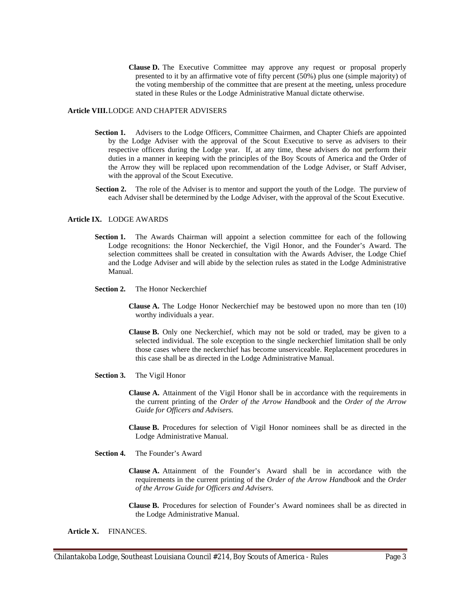**Clause D.** The Executive Committee may approve any request or proposal properly presented to it by an affirmative vote of fifty percent (50%) plus one (simple majority) of the voting membership of the committee that are present at the meeting, unless procedure stated in these Rules or the Lodge Administrative Manual dictate otherwise.

#### **Article VIII.**LODGE AND CHAPTER ADVISERS

- **Section 1.** Advisers to the Lodge Officers, Committee Chairmen, and Chapter Chiefs are appointed by the Lodge Adviser with the approval of the Scout Executive to serve as advisers to their respective officers during the Lodge year. If, at any time, these advisers do not perform their duties in a manner in keeping with the principles of the Boy Scouts of America and the Order of the Arrow they will be replaced upon recommendation of the Lodge Adviser, or Staff Adviser, with the approval of the Scout Executive.
- **Section 2.** The role of the Adviser is to mentor and support the youth of the Lodge. The purview of each Adviser shall be determined by the Lodge Adviser, with the approval of the Scout Executive.

# **Article IX.** LODGE AWARDS

- **Section 1.** The Awards Chairman will appoint a selection committee for each of the following Lodge recognitions: the Honor Neckerchief, the Vigil Honor, and the Founder's Award. The selection committees shall be created in consultation with the Awards Adviser, the Lodge Chief and the Lodge Adviser and will abide by the selection rules as stated in the Lodge Administrative Manual.
- **Section 2.** The Honor Neckerchief
	- **Clause A.** The Lodge Honor Neckerchief may be bestowed upon no more than ten (10) worthy individuals a year.
	- **Clause B.** Only one Neckerchief, which may not be sold or traded, may be given to a selected individual. The sole exception to the single neckerchief limitation shall be only those cases where the neckerchief has become unserviceable. Replacement procedures in this case shall be as directed in the Lodge Administrative Manual.
- **Section 3.** The Vigil Honor
	- **Clause A.** Attainment of the Vigil Honor shall be in accordance with the requirements in the current printing of the *Order of the Arrow Handbook* and the *Order of the Arrow Guide for Officers and Advisers.*
	- **Clause B.** Procedures for selection of Vigil Honor nominees shall be as directed in the Lodge Administrative Manual.
- **Section 4.** The Founder's Award
	- **Clause A.** Attainment of the Founder's Award shall be in accordance with the requirements in the current printing of the *Order of the Arrow Handbook* and the *Order of the Arrow Guide for Officers and Advisers*.
	- **Clause B.** Procedures for selection of Founder's Award nominees shall be as directed in the Lodge Administrative Manual.

**Article X.** FINANCES.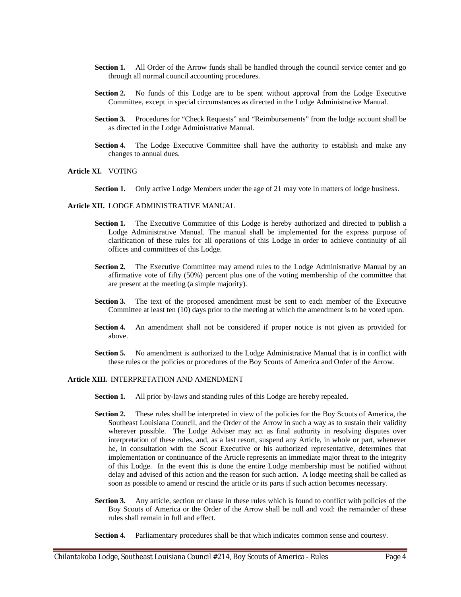- **Section 1.** All Order of the Arrow funds shall be handled through the council service center and go through all normal council accounting procedures.
- **Section 2.** No funds of this Lodge are to be spent without approval from the Lodge Executive Committee, except in special circumstances as directed in the Lodge Administrative Manual.
- **Section 3.** Procedures for "Check Requests" and "Reimbursements" from the lodge account shall be as directed in the Lodge Administrative Manual.
- **Section 4.** The Lodge Executive Committee shall have the authority to establish and make any changes to annual dues.

#### **Article XI.** VOTING

**Section 1.** Only active Lodge Members under the age of 21 may vote in matters of lodge business.

#### **Article XII.** LODGE ADMINISTRATIVE MANUAL

- Section 1. The Executive Committee of this Lodge is hereby authorized and directed to publish a Lodge Administrative Manual. The manual shall be implemented for the express purpose of clarification of these rules for all operations of this Lodge in order to achieve continuity of all offices and committees of this Lodge.
- **Section 2.** The Executive Committee may amend rules to the Lodge Administrative Manual by an affirmative vote of fifty (50%) percent plus one of the voting membership of the committee that are present at the meeting (a simple majority).
- **Section 3.** The text of the proposed amendment must be sent to each member of the Executive Committee at least ten (10) days prior to the meeting at which the amendment is to be voted upon.
- **Section 4.** An amendment shall not be considered if proper notice is not given as provided for above.
- **Section 5.** No amendment is authorized to the Lodge Administrative Manual that is in conflict with these rules or the policies or procedures of the Boy Scouts of America and Order of the Arrow.

# **Article XIII.** INTERPRETATION AND AMENDMENT

- **Section 1.** All prior by-laws and standing rules of this Lodge are hereby repealed.
- **Section 2.** These rules shall be interpreted in view of the policies for the Boy Scouts of America, the Southeast Louisiana Council, and the Order of the Arrow in such a way as to sustain their validity wherever possible. The Lodge Adviser may act as final authority in resolving disputes over interpretation of these rules, and, as a last resort, suspend any Article, in whole or part, whenever he, in consultation with the Scout Executive or his authorized representative, determines that implementation or continuance of the Article represents an immediate major threat to the integrity of this Lodge. In the event this is done the entire Lodge membership must be notified without delay and advised of this action and the reason for such action. A lodge meeting shall be called as soon as possible to amend or rescind the article or its parts if such action becomes necessary.
- **Section 3.** Any article, section or clause in these rules which is found to conflict with policies of the Boy Scouts of America or the Order of the Arrow shall be null and void: the remainder of these rules shall remain in full and effect.
- **Section 4.** Parliamentary procedures shall be that which indicates common sense and courtesy.